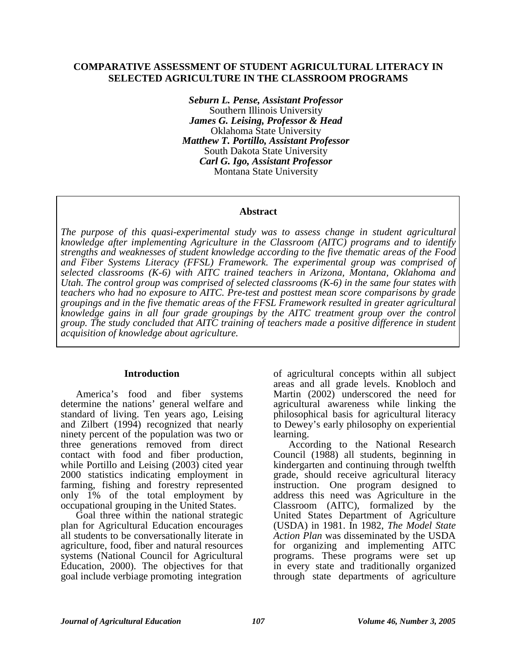#### **COMPARATIVE ASSESSMENT OF STUDENT AGRICULTURAL LITERACY IN SELECTED AGRICULTURE IN THE CLASSROOM PROGRAMS**

*Seburn L. Pense, Assistant Professor*  Southern Illinois University *James G. Leising, Professor & Head*  Oklahoma State University *Matthew T. Portillo, Assistant Professor*  South Dakota State University *Carl G. Igo, Assistant Professor*  Montana State University

#### **Abstract**

*The purpose of this quasi-experimental study was to assess change in student agricultural knowledge after implementing Agriculture in the Classroom (AITC) programs and to identify strengths and weaknesses of student knowledge according to the five thematic areas of the Food and Fiber Systems Literacy (FFSL) Framework. The experimental group was comprised of selected classrooms (K-6) with AITC trained teachers in Arizona, Montana, Oklahoma and Utah. The control group was comprised of selected classrooms (K-6) in the same four states with teachers who had no exposure to AITC. Pre-test and posttest mean score comparisons by grade groupings and in the five thematic areas of the FFSL Framework resulted in greater agricultural knowledge gains in all four grade groupings by the AITC treatment group over the control group. The study concluded that AITC training of teachers made a positive difference in student acquisition of knowledge about agriculture.* 

#### **Introduction**

America's food and fiber systems determine the nations' general welfare and standard of living. Ten years ago, Leising and Zilbert (1994) recognized that nearly ninety percent of the population was two or three generations removed from direct contact with food and fiber production, while Portillo and Leising (2003) cited year 2000 statistics indicating employment in farming, fishing and forestry represented only 1% of the total employment by occupational grouping in the United States.

Goal three within the national strategic plan for Agricultural Education encourages all students to be conversationally literate in agriculture, food, fiber and natural resources systems (National Council for Agricultural Education, 2000). The objectives for that goal include verbiage promoting integration

of agricultural concepts within all subject areas and all grade levels. Knobloch and Martin (2002) underscored the need for agricultural awareness while linking the philosophical basis for agricultural literacy to Dewey's early philosophy on experiential learning.

According to the National Research Council (1988) all students, beginning in kindergarten and continuing through twelfth grade, should receive agricultural literacy instruction. One program designed to address this need was Agriculture in the Classroom (AITC), formalized by the United States Department of Agriculture (USDA) in 1981. In 1982, *The Model State Action Plan* was disseminated by the USDA for organizing and implementing AITC programs. These programs were set up in every state and traditionally organized through state departments of agriculture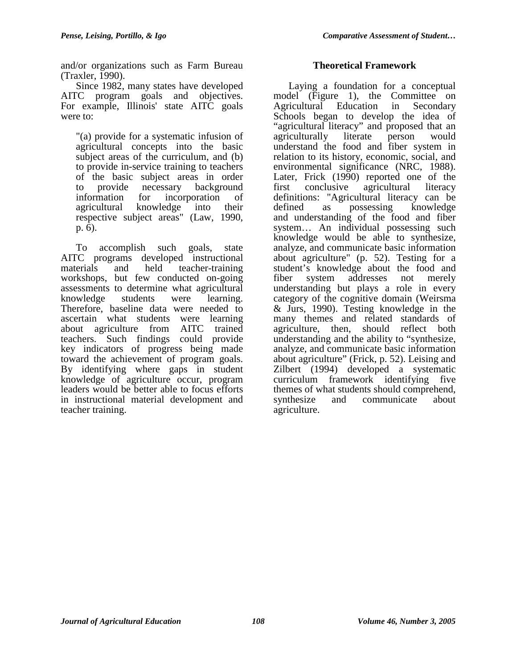and/or organizations such as Farm Bureau (Traxler, 1990).

Since 1982, many states have developed AITC program goals and objectives. For example, Illinois' state AITC goals were to:

"(a) provide for a systematic infusion of agricultural concepts into the basic subject areas of the curriculum, and (b) to provide in-service training to teachers of the basic subject areas in order to provide necessary background information for incorporation of agricultural knowledge into their respective subject areas" (Law, 1990, p. 6).

To accomplish such goals, state AITC programs developed instructional materials and held teacher-training workshops, but few conducted on-going assessments to determine what agricultural knowledge students were learning. Therefore, baseline data were needed to ascertain what students were learning about agriculture from AITC trained teachers. Such findings could provide key indicators of progress being made toward the achievement of program goals. By identifying where gaps in student knowledge of agriculture occur, program leaders would be better able to focus efforts in instructional material development and teacher training.

# **Theoretical Framework**

Laying a foundation for a conceptual model (Figure 1), the Committee on Agricultural Education in Secondary Schools began to develop the idea of "agricultural literacy" and proposed that an agriculturally literate person would understand the food and fiber system in relation to its history, economic, social, and environmental significance (NRC, 1988). Later, Frick (1990) reported one of the first conclusive agricultural literacy definitions: "Agricultural literacy can be defined as possessing knowledge and understanding of the food and fiber system… An individual possessing such knowledge would be able to synthesize, analyze, and communicate basic information about agriculture" (p. 52). Testing for a student's knowledge about the food and fiber system addresses not merely understanding but plays a role in every category of the cognitive domain (Weirsma & Jurs, 1990). Testing knowledge in the many themes and related standards of agriculture, then, should reflect both understanding and the ability to "synthesize, analyze, and communicate basic information about agriculture" (Frick, p. 52). Leising and Zilbert<sup> (1994)</sup> developed a systematic curriculum framework identifying five themes of what students should comprehend, synthesize and communicate about agriculture.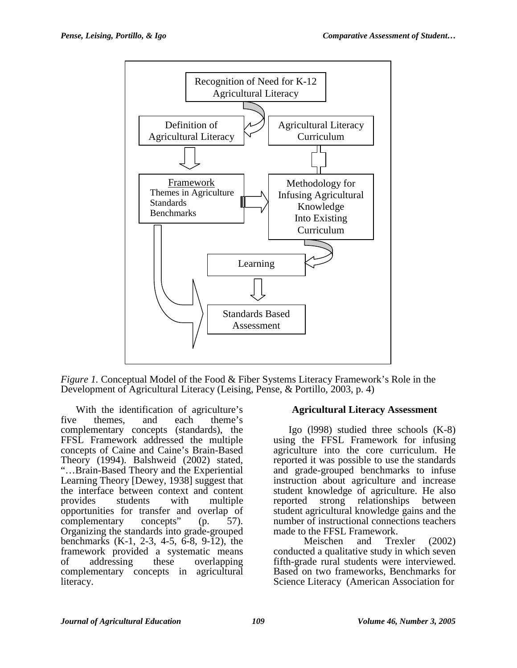

*Figure 1.* Conceptual Model of the Food & Fiber Systems Literacy Framework's Role in the Development of Agricultural Literacy (Leising, Pense, & Portillo, 2003, p. 4)

With the identification of agriculture's five themes, and each theme's complementary concepts (standards), the FFSL Framework addressed the multiple concepts of Caine and Caine's Brain-Based Theory (1994). Balshweid (2002) stated, "…Brain-Based Theory and the Experiential Learning Theory [Dewey, 1938] suggest that the interface between context and content provides students with multiple opportunities for transfer and overlap of complementary concepts" (p. 57). Organizing the standards into grade-grouped benchmarks (K-1, 2-3, 4-5, 6-8, 9-12), the framework provided a systematic means of addressing these overlapping complementary concepts in agricultural literacy.

### **Agricultural Literacy Assessment**

Igo (l998) studied three schools (K-8) using the FFSL Framework for infusing agriculture into the core curriculum. He reported it was possible to use the standards and grade-grouped benchmarks to infuse instruction about agriculture and increase student knowledge of agriculture. He also reported strong relationships between student agricultural knowledge gains and the number of instructional connections teachers made to the FFSL Framework.

 Meischen and Trexler (2002) conducted a qualitative study in which seven fifth-grade rural students were interviewed. Based on two frameworks, Benchmarks for Science Literacy (American Association for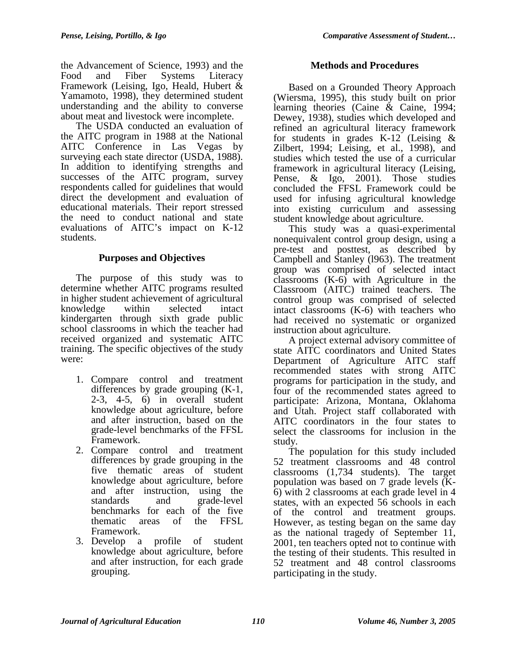the Advancement of Science, 1993) and the Food and Fiber Systems Literacy Framework (Leising, Igo, Heald, Hubert & Yamamoto, 1998), they determined student understanding and the ability to converse about meat and livestock were incomplete.

The USDA conducted an evaluation of the AITC program in 1988 at the National AITC Conference in Las Vegas by surveying each state director (USDA, 1988). In addition to identifying strengths and successes of the AITC program, survey respondents called for guidelines that would direct the development and evaluation of educational materials. Their report stressed the need to conduct national and state evaluations of AITC's impact on K-12 students.

# **Purposes and Objectives**

The purpose of this study was to determine whether AITC programs resulted in higher student achievement of agricultural knowledge within selected intact kindergarten through sixth grade public school classrooms in which the teacher had received organized and systematic AITC training. The specific objectives of the study were:

- 1. Compare control and treatment differences by grade grouping (K-1, 2-3, 4-5, 6) in overall student knowledge about agriculture, before and after instruction, based on the grade-level benchmarks of the FFSL Framework.
- 2. Compare control and treatment differences by grade grouping in the five thematic areas of student knowledge about agriculture, before and after instruction, using the standards and grade-level benchmarks for each of the five thematic areas of the FFSL Framework.
- 3. Develop a profile of student knowledge about agriculture, before and after instruction, for each grade grouping.

# **Methods and Procedures**

Based on a Grounded Theory Approach (Wiersma, 1995), this study built on prior learning theories (Caine & Caine, 1994; Dewey, 1938), studies which developed and refined an agricultural literacy framework for students in grades K-12 (Leising & Zilbert, 1994; Leising, et al., 1998), and studies which tested the use of a curricular framework in agricultural literacy (Leising, Pense, & Igo, 2001). Those studies concluded the FFSL Framework could be used for infusing agricultural knowledge into existing curriculum and assessing student knowledge about agriculture.

This study was a quasi-experimental nonequivalent control group design, using a pre-test and posttest, as described by Campbell and Stanley (l963). The treatment group was comprised of selected intact classrooms (K-6) with Agriculture in the Classroom (AITC) trained teachers. The control group was comprised of selected intact classrooms (K-6) with teachers who had received no systematic or organized instruction about agriculture.

A project external advisory committee of state AITC coordinators and United States Department of Agriculture AITC staff recommended states with strong AITC programs for participation in the study, and four of the recommended states agreed to participate: Arizona, Montana, Oklahoma and Utah. Project staff collaborated with AITC coordinators in the four states to select the classrooms for inclusion in the study.

The population for this study included 52 treatment classrooms and 48 control classrooms (1,734 students). The target population was based on 7 grade levels (K-6) with 2 classrooms at each grade level in 4 states, with an expected 56 schools in each of the control and treatment groups. However, as testing began on the same day as the national tragedy of September 11, 2001, ten teachers opted not to continue with the testing of their students. This resulted in 52 treatment and 48 control classrooms participating in the study.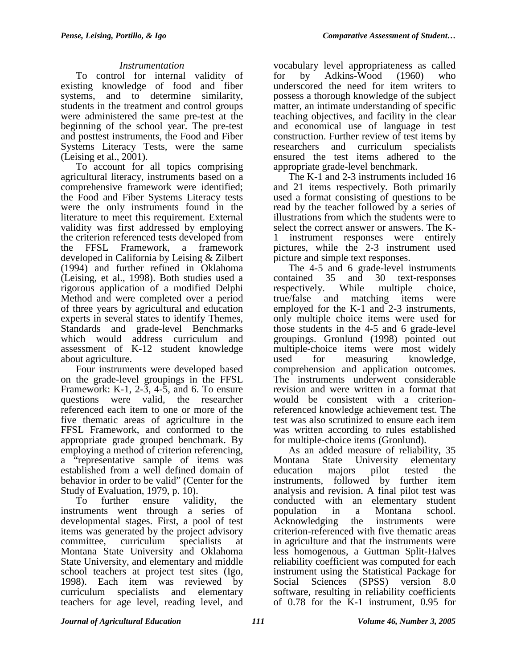### *Instrumentation*

To control for internal validity of existing knowledge of food and fiber systems, and to determine similarity, students in the treatment and control groups were administered the same pre-test at the beginning of the school year. The pre-test and posttest instruments, the Food and Fiber Systems Literacy Tests, were the same (Leising et al., 2001).

To account for all topics comprising agricultural literacy, instruments based on a comprehensive framework were identified; the Food and Fiber Systems Literacy tests were the only instruments found in the literature to meet this requirement. External validity was first addressed by employing the criterion referenced tests developed from the FFSL Framework, a framework developed in California by Leising & Zilbert (1994) and further refined in Oklahoma (Leising, et al., 1998). Both studies used a rigorous application of a modified Delphi Method and were completed over a period of three years by agricultural and education experts in several states to identify Themes, Standards and grade-level Benchmarks which would address curriculum and assessment of K-12 student knowledge about agriculture.

Four instruments were developed based on the grade-level groupings in the FFSL Framework: K-1, 2-3, 4-5, and 6. To ensure questions were valid, the researcher referenced each item to one or more of the five thematic areas of agriculture in the FFSL Framework, and conformed to the appropriate grade grouped benchmark. By employing a method of criterion referencing, a "representative sample of items was established from a well defined domain of behavior in order to be valid" (Center for the Study of Evaluation, 1979, p. 10).

To further ensure validity, the instruments went through a series of developmental stages. First, a pool of test items was generated by the project advisory committee, curriculum specialists at Montana State University and Oklahoma State University, and elementary and middle school teachers at project test sites (Igo, 1998). Each item was reviewed by curriculum specialists and elementary teachers for age level, reading level, and

vocabulary level appropriateness as called for by Adkins-Wood (1960) who underscored the need for item writers to possess a thorough knowledge of the subject matter, an intimate understanding of specific teaching objectives, and facility in the clear and economical use of language in test construction. Further review of test items by researchers and curriculum specialists ensured the test items adhered to the appropriate grade-level benchmark.

The K-1 and 2-3 instruments included 16 and 21 items respectively. Both primarily used a format consisting of questions to be read by the teacher followed by a series of illustrations from which the students were to select the correct answer or answers. The K-1 instrument responses were entirely pictures, while the 2-3 instrument used picture and simple text responses.

The 4-5 and 6 grade-level instruments contained 35 and 30 text-responses respectively. While multiple choice, true/false and matching items were employed for the K-1 and 2-3 instruments, only multiple choice items were used for those students in the 4-5 and 6 grade-level groupings. Gronlund (1998) pointed out multiple-choice items were most widely used for measuring knowledge, comprehension and application outcomes. The instruments underwent considerable revision and were written in a format that would be consistent with a criterionreferenced knowledge achievement test. The test was also scrutinized to ensure each item was written according to rules established for multiple-choice items (Gronlund).

As an added measure of reliability, 35 Montana State University elementary education majors pilot tested the instruments, followed by further item analysis and revision. A final pilot test was conducted with an elementary student population in a Montana school. Acknowledging the instruments were criterion-referenced with five thematic areas in agriculture and that the instruments were less homogenous, a Guttman Split-Halves reliability coefficient was computed for each instrument using the Statistical Package for Social Sciences (SPSS) version 8.0 software, resulting in reliability coefficients of 0.78 for the K-1 instrument, 0.95 for

*Journal of Agricultural Education 111 Volume 46, Number 3, 2005*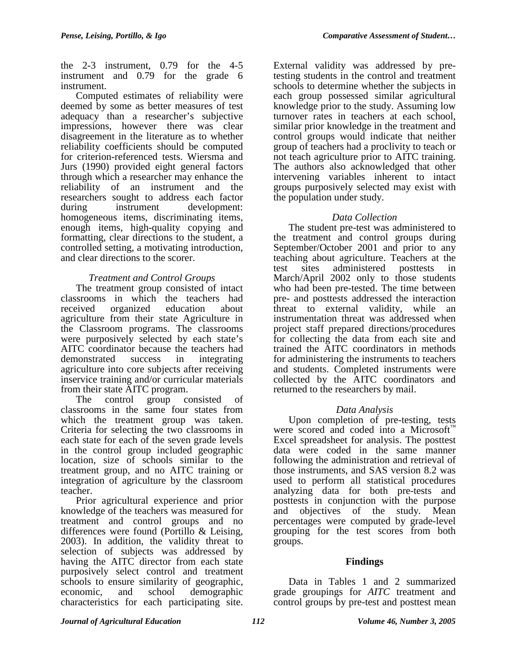the 2-3 instrument, 0.79 for the 4-5 instrument and 0.79 for the grade 6 instrument.

Computed estimates of reliability were deemed by some as better measures of test adequacy than a researcher's subjective impressions, however there was clear disagreement in the literature as to whether reliability coefficients should be computed for criterion-referenced tests. Wiersma and Jurs (1990) provided eight general factors through which a researcher may enhance the reliability of an instrument and the researchers sought to address each factor during instrument development: homogeneous items, discriminating items, enough items, high-quality copying and formatting, clear directions to the student, a controlled setting, a motivating introduction, and clear directions to the scorer.

# *Treatment and Control Groups*

The treatment group consisted of intact classrooms in which the teachers had received organized education about agriculture from their state Agriculture in the Classroom programs. The classrooms were purposively selected by each state's AITC coordinator because the teachers had demonstrated success in integrating agriculture into core subjects after receiving inservice training and/or curricular materials from their state AITC program.

The control group consisted of classrooms in the same four states from which the treatment group was taken. Criteria for selecting the two classrooms in each state for each of the seven grade levels in the control group included geographic location, size of schools similar to the treatment group, and no AITC training or integration of agriculture by the classroom teacher.

Prior agricultural experience and prior knowledge of the teachers was measured for treatment and control groups and no differences were found (Portillo & Leising, 2003). In addition, the validity threat to selection of subjects was addressed by having the AITC director from each state purposively select control and treatment schools to ensure similarity of geographic, economic, and school demographic characteristics for each participating site.

External validity was addressed by pretesting students in the control and treatment schools to determine whether the subjects in each group possessed similar agricultural knowledge prior to the study. Assuming low turnover rates in teachers at each school, similar prior knowledge in the treatment and control groups would indicate that neither group of teachers had a proclivity to teach or not teach agriculture prior to AITC training. The authors also acknowledged that other intervening variables inherent to intact groups purposively selected may exist with the population under study.

# *Data Collection*

The student pre-test was administered to the treatment and control groups during September/October 2001 and prior to any teaching about agriculture. Teachers at the test sites administered posttests in March/April 2002 only to those students who had been pre-tested. The time between pre- and posttests addressed the interaction threat to external validity, while an instrumentation threat was addressed when project staff prepared directions/procedures for collecting the data from each site and trained the AITC coordinators in methods for administering the instruments to teachers and students. Completed instruments were collected by the AITC coordinators and returned to the researchers by mail.

### *Data Analysis*

Upon completion of pre-testing, tests were scored and coded into a Microsoft<sup>™</sup> Excel spreadsheet for analysis. The posttest data were coded in the same manner following the administration and retrieval of those instruments, and SAS version 8.2 was used to perform all statistical procedures analyzing data for both pre-tests and posttests in conjunction with the purpose and objectives of the study. Mean percentages were computed by grade-level grouping for the test scores from both groups.

### **Findings**

Data in Tables 1 and 2 summarized grade groupings for *AITC* treatment and control groups by pre-test and posttest mean

*Journal of Agricultural Education 112 Volume 46, Number 3, 2005*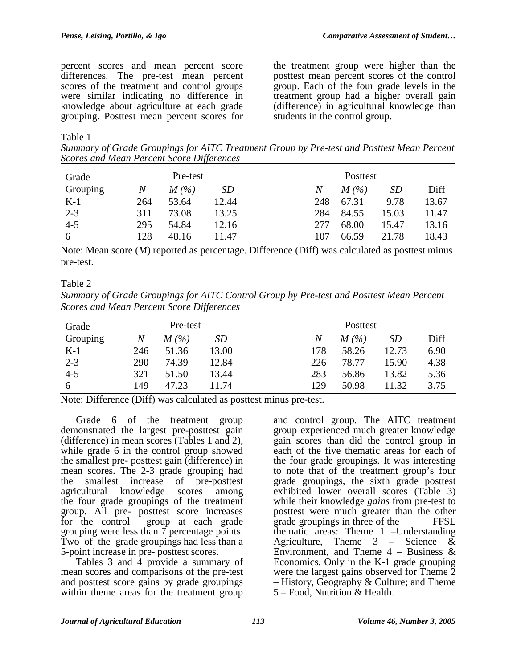percent scores and mean percent score differences. The pre-test mean percent scores of the treatment and control groups were similar indicating no difference in knowledge about agriculture at each grade grouping. Posttest mean percent scores for

the treatment group were higher than the posttest mean percent scores of the control group. Each of the four grade levels in the treatment group had a higher overall gain (difference) in agricultural knowledge than students in the control group.

#### Table 1

*Summary of Grade Groupings for AITC Treatment Group by Pre-test and Posttest Mean Percent Scores and Mean Percent Score Differences* 

| Grade    | Pre-test |                     |       |     | Posttest            |           |       |  |  |
|----------|----------|---------------------|-------|-----|---------------------|-----------|-------|--|--|
| Grouping |          | $M\left( % \right)$ | SD    | Ν   | $M\left( % \right)$ | <i>SD</i> | Diff  |  |  |
| $K-1$    | 264      | 53.64               | 12.44 | 248 | 67.31               | 9.78      | 13.67 |  |  |
| $2 - 3$  | 311      | 73.08               | 13.25 | 284 | 84.55               | 15.03     | 11.47 |  |  |
| $4 - 5$  | 295      | 54.84               | 12.16 | 277 | 68.00               | 15.47     | 13.16 |  |  |
| 6        | 128      | 48.16               | 11.47 | 107 | 66.59               | 21.78     | 18.43 |  |  |

Note: Mean score (*M*) reported as percentage. Difference (Diff) was calculated as posttest minus pre-test.

#### Table 2

*Summary of Grade Groupings for AITC Control Group by Pre-test and Posttest Mean Percent Scores and Mean Percent Score Differences* 

| Grade    | Pre-test |         |       |     | Posttest |           |      |  |
|----------|----------|---------|-------|-----|----------|-----------|------|--|
| Grouping | N        | $M$ (%) | SD    | N   | M(%)     | <i>SD</i> | Diff |  |
| $K-1$    | 246      | 51.36   | 13.00 | 178 | 58.26    | 12.73     | 6.90 |  |
| $2 - 3$  | 290      | 74.39   | 12.84 | 226 | 78.77    | 15.90     | 4.38 |  |
| $4 - 5$  | 321      | 51.50   | 13.44 | 283 | 56.86    | 13.82     | 5.36 |  |
| 6        | 149      | 47.23   | 11.74 | 129 | 50.98    | 11.32     | 3.75 |  |

Note: Difference (Diff) was calculated as posttest minus pre-test.

Grade 6 of the treatment group demonstrated the largest pre-posttest gain (difference) in mean scores (Tables 1 and 2), while grade 6 in the control group showed the smallest pre- posttest gain (difference) in mean scores. The 2-3 grade grouping had the smallest increase of pre-posttest agricultural knowledge scores among the four grade groupings of the treatment group. All pre- posttest score increases<br>for the control group at each grade group at each grade grouping were less than  $\overline{7}$  percentage points. Two of the grade groupings had less than a 5-point increase in pre- posttest scores.

Tables  $3$  and  $\overline{4}$  provide a summary of mean scores and comparisons of the pre-test and posttest score gains by grade groupings within theme areas for the treatment group

and control group. The AITC treatment group experienced much greater knowledge gain scores than did the control group in each of the five thematic areas for each of the four grade groupings. It was interesting to note that of the treatment group's four grade groupings, the sixth grade posttest exhibited lower overall scores (Table 3) while their knowledge *gains* from pre-test to posttest were much greater than the other grade groupings in three of the FFSL thematic areas: Theme 1 –Understanding Agriculture, Theme  $3 -$  Science & Environment, and Theme  $4$  – Business & Economics. Only in the K-1 grade grouping were the largest gains observed for Theme 2 – History, Geography & Culture; and Theme 5 – Food, Nutrition & Health.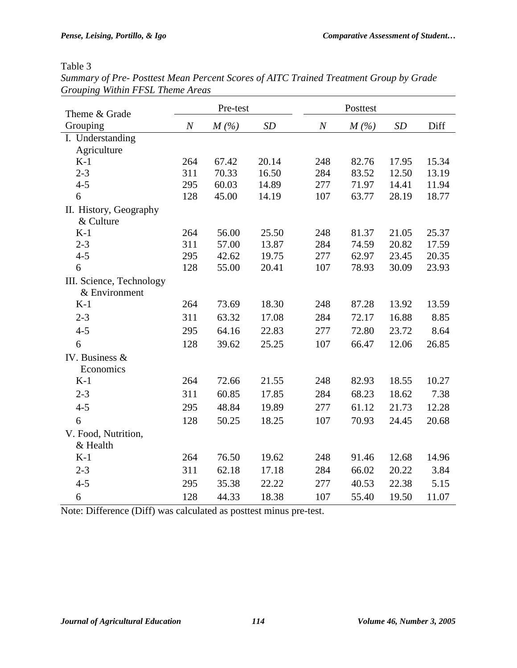### Table 3

| <b>JIUW</b> UILK<br><i>Hullet 1 1 SL Theme Incus</i> |                  |       |       |                  |         |       |       |
|------------------------------------------------------|------------------|-------|-------|------------------|---------|-------|-------|
|                                                      | Pre-test         |       |       | Posttest         |         |       |       |
| Theme & Grade                                        |                  |       |       |                  |         |       |       |
| Grouping                                             | $\boldsymbol{N}$ | M(%)  | SD    | $\boldsymbol{N}$ | $M(\%)$ | SD    | Diff  |
| I. Understanding                                     |                  |       |       |                  |         |       |       |
| Agriculture<br>$K-1$                                 | 264              | 67.42 | 20.14 | 248              | 82.76   | 17.95 | 15.34 |
| $2 - 3$                                              | 311              | 70.33 | 16.50 | 284              | 83.52   | 12.50 | 13.19 |
| $4 - 5$                                              | 295              | 60.03 | 14.89 | 277              | 71.97   | 14.41 | 11.94 |
| 6                                                    | 128              | 45.00 | 14.19 | 107              | 63.77   | 28.19 | 18.77 |
|                                                      |                  |       |       |                  |         |       |       |
| II. History, Geography<br>& Culture                  |                  |       |       |                  |         |       |       |
| $K-1$                                                | 264              | 56.00 | 25.50 | 248              | 81.37   | 21.05 | 25.37 |
| $2 - 3$                                              | 311              | 57.00 | 13.87 | 284              | 74.59   | 20.82 | 17.59 |
| $4 - 5$                                              | 295              | 42.62 | 19.75 | 277              | 62.97   | 23.45 | 20.35 |
| 6                                                    | 128              | 55.00 | 20.41 | 107              | 78.93   | 30.09 | 23.93 |
| III. Science, Technology                             |                  |       |       |                  |         |       |       |
| & Environment                                        |                  |       |       |                  |         |       |       |
| $K-1$                                                | 264              | 73.69 | 18.30 | 248              | 87.28   | 13.92 | 13.59 |
| $2 - 3$                                              | 311              | 63.32 | 17.08 | 284              | 72.17   | 16.88 | 8.85  |
| $4 - 5$                                              | 295              | 64.16 | 22.83 | 277              | 72.80   | 23.72 | 8.64  |
| 6                                                    | 128              | 39.62 | 25.25 | 107              | 66.47   | 12.06 | 26.85 |
| IV. Business &                                       |                  |       |       |                  |         |       |       |
| Economics                                            |                  |       |       |                  |         |       |       |
| $K-1$                                                | 264              | 72.66 | 21.55 | 248              | 82.93   | 18.55 | 10.27 |
| $2 - 3$                                              | 311              | 60.85 | 17.85 | 284              | 68.23   | 18.62 | 7.38  |
| $4 - 5$                                              | 295              | 48.84 | 19.89 | 277              | 61.12   | 21.73 | 12.28 |
| 6                                                    | 128              | 50.25 | 18.25 | 107              | 70.93   | 24.45 | 20.68 |
| V. Food, Nutrition,                                  |                  |       |       |                  |         |       |       |
| & Health                                             |                  |       |       |                  |         |       |       |
| $K-1$                                                | 264              | 76.50 | 19.62 | 248              | 91.46   | 12.68 | 14.96 |
| $2 - 3$                                              | 311              | 62.18 | 17.18 | 284              | 66.02   | 20.22 | 3.84  |
| $4 - 5$                                              | 295              | 35.38 | 22.22 | 277              | 40.53   | 22.38 | 5.15  |
| 6                                                    | 128              | 44.33 | 18.38 | 107              | 55.40   | 19.50 | 11.07 |

*Summary of Pre- Posttest Mean Percent Scores of AITC Trained Treatment Group by Grade Grouping Within FFSL Theme Areas* 

Note: Difference (Diff) was calculated as posttest minus pre-test.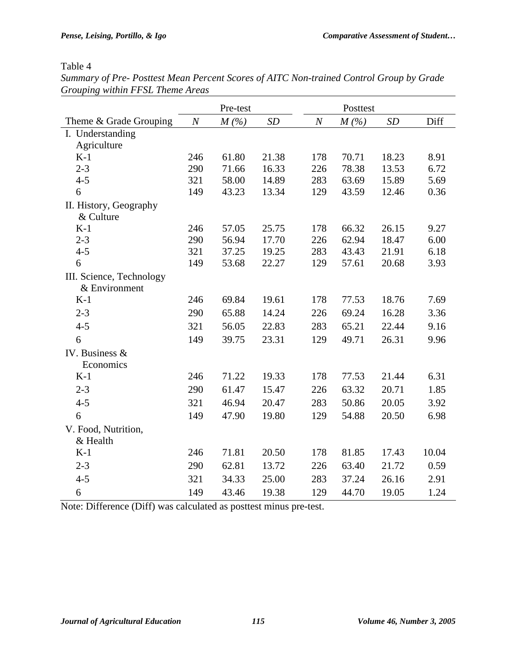$\overline{\phantom{a}}$ 

# Table 4

| Summary of Pre-Posttest Mean Percent Scores of AITC Non-trained Control Group by Grade |  |
|----------------------------------------------------------------------------------------|--|
| Grouping within FFSL Theme Areas                                                       |  |

|                                     |                  | Pre-test |       |                  | Posttest |       |       |
|-------------------------------------|------------------|----------|-------|------------------|----------|-------|-------|
| Theme & Grade Grouping              | $\boldsymbol{N}$ | $M(\%)$  | SD    | $\boldsymbol{N}$ | $M(\%)$  | SD    | Diff  |
| I. Understanding                    |                  |          |       |                  |          |       |       |
| Agriculture                         |                  |          |       |                  |          |       |       |
| $K-1$                               | 246              | 61.80    | 21.38 | 178              | 70.71    | 18.23 | 8.91  |
| $2 - 3$                             | 290              | 71.66    | 16.33 | 226              | 78.38    | 13.53 | 6.72  |
| $4 - 5$                             | 321              | 58.00    | 14.89 | 283              | 63.69    | 15.89 | 5.69  |
| 6                                   | 149              | 43.23    | 13.34 | 129              | 43.59    | 12.46 | 0.36  |
| II. History, Geography<br>& Culture |                  |          |       |                  |          |       |       |
| $K-1$                               | 246              | 57.05    | 25.75 | 178              | 66.32    | 26.15 | 9.27  |
| $2 - 3$                             | 290              | 56.94    | 17.70 | 226              | 62.94    | 18.47 | 6.00  |
| $4 - 5$                             | 321              | 37.25    | 19.25 | 283              | 43.43    | 21.91 | 6.18  |
| 6                                   | 149              | 53.68    | 22.27 | 129              | 57.61    | 20.68 | 3.93  |
| III. Science, Technology            |                  |          |       |                  |          |       |       |
| & Environment                       |                  |          |       |                  |          |       |       |
| $K-1$                               | 246              | 69.84    | 19.61 | 178              | 77.53    | 18.76 | 7.69  |
| $2 - 3$                             | 290              | 65.88    | 14.24 | 226              | 69.24    | 16.28 | 3.36  |
| $4 - 5$                             | 321              | 56.05    | 22.83 | 283              | 65.21    | 22.44 | 9.16  |
| 6                                   | 149              | 39.75    | 23.31 | 129              | 49.71    | 26.31 | 9.96  |
| IV. Business $&$                    |                  |          |       |                  |          |       |       |
| Economics                           |                  |          |       |                  |          |       |       |
| $K-1$                               | 246              | 71.22    | 19.33 | 178              | 77.53    | 21.44 | 6.31  |
| $2 - 3$                             | 290              | 61.47    | 15.47 | 226              | 63.32    | 20.71 | 1.85  |
| $4 - 5$                             | 321              | 46.94    | 20.47 | 283              | 50.86    | 20.05 | 3.92  |
| 6                                   | 149              | 47.90    | 19.80 | 129              | 54.88    | 20.50 | 6.98  |
| V. Food, Nutrition,                 |                  |          |       |                  |          |       |       |
| & Health                            |                  |          |       |                  |          |       |       |
| $K-1$                               | 246              | 71.81    | 20.50 | 178              | 81.85    | 17.43 | 10.04 |
| $2 - 3$                             | 290              | 62.81    | 13.72 | 226              | 63.40    | 21.72 | 0.59  |
| $4 - 5$                             | 321              | 34.33    | 25.00 | 283              | 37.24    | 26.16 | 2.91  |
| 6                                   | 149              | 43.46    | 19.38 | 129              | 44.70    | 19.05 | 1.24  |

Note: Difference (Diff) was calculated as posttest minus pre-test.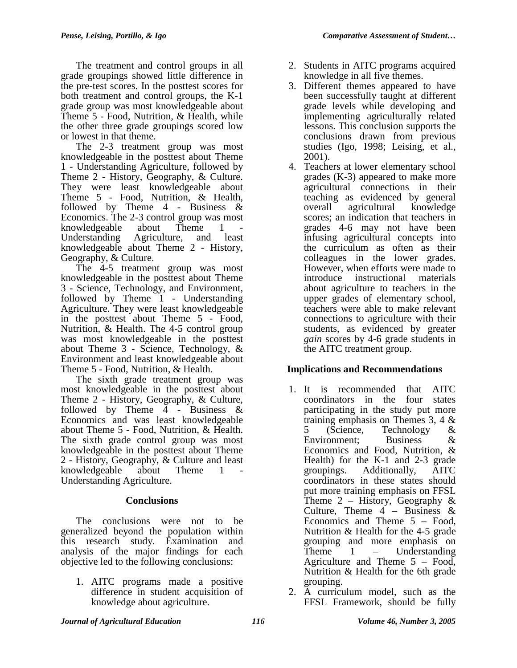The treatment and control groups in all grade groupings showed little difference in the pre-test scores. In the posttest scores for both treatment and control groups, the K-1 grade group was most knowledgeable about Theme 5 - Food, Nutrition, & Health, while the other three grade groupings scored low or lowest in that theme.

The 2-3 treatment group was most knowledgeable in the posttest about Theme 1 - Understanding Agriculture, followed by Theme 2 - History, Geography, & Culture. They were least knowledgeable about Theme 5 - Food, Nutrition, & Health, followed by Theme  $4$  - Business  $\&$ Economics. The 2-3 control group was most knowledgeable about Theme 1 Understanding Agriculture, and least knowledgeable about Theme 2 - History, Geography, & Culture.

The 4-5 treatment group was most knowledgeable in the posttest about Theme 3 - Science, Technology, and Environment, followed by Theme 1 - Understanding Agriculture. They were least knowledgeable in the posttest about Theme 5 - Food, Nutrition, & Health. The 4-5 control group was most knowledgeable in the posttest about Theme 3 - Science, Technology, & Environment and least knowledgeable about Theme 5 - Food, Nutrition, & Health.

The sixth grade treatment group was most knowledgeable in the posttest about Theme 2 - History, Geography, & Culture, followed by Theme  $\overline{4}$  - Business & Economics and was least knowledgeable about Theme 5 - Food, Nutrition, & Health. The sixth grade control group was most knowledgeable in the posttest about Theme 2 - History, Geography, & Culture and least knowledgeable about Theme 1 Understanding Agriculture.

# **Conclusions**

The conclusions were not to be generalized beyond the population within this research study. Examination and analysis of the major findings for each objective led to the following conclusions:

1. AITC programs made a positive difference in student acquisition of knowledge about agriculture.

- 2. Students in AITC programs acquired knowledge in all five themes.
- 3. Different themes appeared to have been successfully taught at different grade levels while developing and implementing agriculturally related lessons. This conclusion supports the conclusions drawn from previous studies (Igo, 1998; Leising, et al., 2001).
- 4. Teachers at lower elementary school grades (K-3) appeared to make more agricultural connections in their teaching as evidenced by general overall agricultural knowledge scores; an indication that teachers in grades 4-6 may not have been infusing agricultural concepts into the curriculum as often as their colleagues in the lower grades. However, when efforts were made to introduce instructional materials about agriculture to teachers in the upper grades of elementary school, teachers were able to make relevant connections to agriculture with their students, as evidenced by greater *gain* scores by 4-6 grade students in the AITC treatment group.

# **Implications and Recommendations**

- 1. It is recommended that AITC coordinators in the four states participating in the study put more training emphasis on Themes 3, 4 & 5 (Science, Technology & Environment; Business & Economics and Food, Nutrition, & Health) for the K-1 and 2-3 grade groupings. Additionally, AITC coordinators in these states should put more training emphasis on FFSL Theme  $2$  – History, Geography & Culture, Theme  $4$  – Business & Economics and Theme 5 – Food, Nutrition & Health for the 4-5 grade grouping and more emphasis on<br>Theme 1 – Understanding  $1$  – Understanding Agriculture and Theme 5 – Food, Nutrition & Health for the 6th grade grouping.
- 2. A curriculum model, such as the FFSL Framework, should be fully

### *Journal of Agricultural Education 116 Volume 46, Number 3, 2005*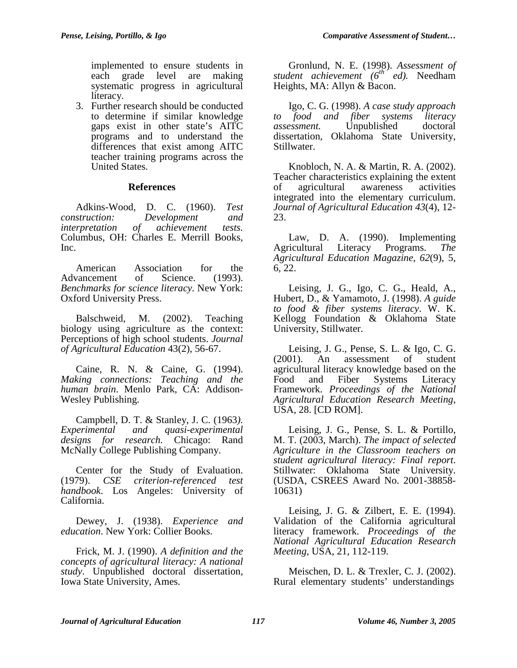implemented to ensure students in each grade level are making systematic progress in agricultural literacy.

3. Further research should be conducted to determine if similar knowledge gaps exist in other state's AITC programs and to understand the differences that exist among AITC teacher training programs across the United States.

#### **References**

Adkins-Wood, D. C. (1960). *Test construction: Development and interpretation of achievement tests.* Columbus, OH: Charles E. Merrill Books, Inc.

American Association for the Advancement of Science. (1993). *Benchmarks for science literacy*. New York: Oxford University Press.

Balschweid, M. (2002). Teaching biology using agriculture as the context: Perceptions of high school students. *Journal of Agricultural Education* 43(2), 56-67.

Caine, R. N. & Caine, G. (1994). *Making connections: Teaching and the human brain*. Menlo Park, CA: Addison-Wesley Publishing.

Campbell, D. T. & Stanley, J. C. (1963*). Experimental and quasi-experimental designs for research.* Chicago: Rand McNally College Publishing Company.

Center for the Study of Evaluation. (1979). *CSE criterion-referenced test handbook*. Los Angeles: University of California.

Dewey, J. (1938). *Experience and education*. New York: Collier Books.

Frick, M. J. (1990). *A definition and the concepts of agricultural literacy: A national study*. Unpublished doctoral dissertation, Iowa State University, Ames.

Gronlund, N. E. (1998). *Assessment of student achievement (6th ed).* Needham Heights, MA: Allyn & Bacon.

Igo, C. G. (1998). *A case study approach to food and fiber systems literacy assessment.* Unpublished doctoral dissertation, Oklahoma State University, Stillwater.

Knobloch, N. A. & Martin, R. A. (2002). Teacher characteristics explaining the extent of agricultural awareness activities integrated into the elementary curriculum. *Journal of Agricultural Education 43*(4), 12- 23.

Law, D. A. (1990). Implementing Agricultural Literacy Programs. *The Agricultural Education Magazine, 62*(9), 5, 6, 22.

Leising, J. G., Igo, C. G., Heald, A., Hubert, D., & Yamamoto, J. (1998). *A guide to food & fiber systems literacy*. W. K. Kellogg Foundation & Oklahoma State University, Stillwater.

Leising, J. G., Pense, S. L. & Igo, C. G. (2001). An assessment of student agricultural literacy knowledge based on the Food and Fiber Systems Literacy Framework. *Proceedings of the National Agricultural Education Research Meeting*, USA, 28. [CD ROM].

Leising, J. G., Pense, S. L. & Portillo, M. T. (2003, March). *The impact of selected Agriculture in the Classroom teachers on student agricultural literacy: Final report*. Stillwater: Oklahoma State University. (USDA, CSREES Award No. 2001-38858- 10631)

Leising, J. G. & Zilbert, E. E. (1994). Validation of the California agricultural literacy framework. *Proceedings of the National Agricultural Education Research Meeting*, USA, 21, 112-119.

Meischen, D. L. & Trexler, C. J. (2002). Rural elementary students' understandings